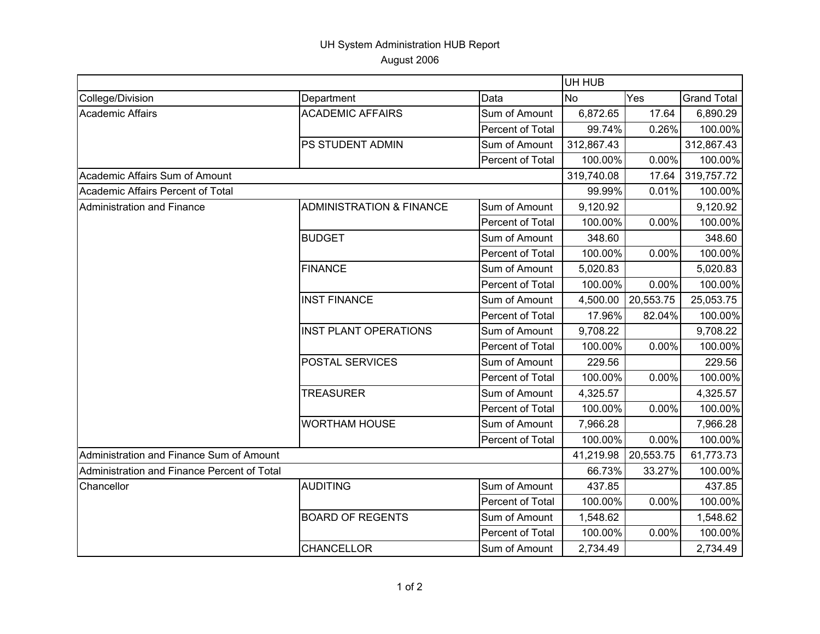## UH System Administration HUB Report August 2006

|                                             |                                     |                  | UH HUB     |           |                    |  |
|---------------------------------------------|-------------------------------------|------------------|------------|-----------|--------------------|--|
| College/Division                            | Department                          | Data             | <b>No</b>  | Yes       | <b>Grand Total</b> |  |
| Academic Affairs                            | <b>ACADEMIC AFFAIRS</b>             | Sum of Amount    | 6,872.65   | 17.64     | 6,890.29           |  |
|                                             |                                     | Percent of Total | 99.74%     | 0.26%     | 100.00%            |  |
|                                             | PS STUDENT ADMIN                    | Sum of Amount    | 312,867.43 |           | 312,867.43         |  |
|                                             |                                     | Percent of Total | 100.00%    | 0.00%     | 100.00%            |  |
| Academic Affairs Sum of Amount              |                                     |                  | 319,740.08 | 17.64     | 319,757.72         |  |
| Academic Affairs Percent of Total           |                                     |                  | 99.99%     | 0.01%     | 100.00%            |  |
| <b>Administration and Finance</b>           | <b>ADMINISTRATION &amp; FINANCE</b> | Sum of Amount    | 9,120.92   |           | 9,120.92           |  |
|                                             |                                     | Percent of Total | 100.00%    | 0.00%     | 100.00%            |  |
|                                             | <b>BUDGET</b>                       | Sum of Amount    | 348.60     |           | 348.60             |  |
|                                             |                                     | Percent of Total | 100.00%    | 0.00%     | 100.00%            |  |
|                                             | <b>FINANCE</b>                      | Sum of Amount    | 5,020.83   |           | 5,020.83           |  |
|                                             |                                     | Percent of Total | 100.00%    | 0.00%     | 100.00%            |  |
|                                             | <b>INST FINANCE</b>                 | Sum of Amount    | 4,500.00   | 20,553.75 | 25,053.75          |  |
|                                             |                                     | Percent of Total | 17.96%     | 82.04%    | 100.00%            |  |
|                                             | <b>INST PLANT OPERATIONS</b>        | Sum of Amount    | 9,708.22   |           | 9,708.22           |  |
|                                             |                                     | Percent of Total | 100.00%    | 0.00%     | 100.00%            |  |
|                                             | POSTAL SERVICES                     | Sum of Amount    | 229.56     |           | 229.56             |  |
|                                             |                                     | Percent of Total | 100.00%    | 0.00%     | 100.00%            |  |
|                                             | <b>TREASURER</b>                    | Sum of Amount    | 4,325.57   |           | 4,325.57           |  |
|                                             |                                     | Percent of Total | 100.00%    | 0.00%     | 100.00%            |  |
|                                             | <b>WORTHAM HOUSE</b>                | Sum of Amount    | 7,966.28   |           | 7,966.28           |  |
|                                             |                                     | Percent of Total | 100.00%    | 0.00%     | 100.00%            |  |
| Administration and Finance Sum of Amount    |                                     |                  | 41,219.98  | 20,553.75 | 61,773.73          |  |
| Administration and Finance Percent of Total |                                     |                  | 66.73%     | 33.27%    | 100.00%            |  |
| Chancellor                                  | <b>AUDITING</b>                     | Sum of Amount    | 437.85     |           | 437.85             |  |
|                                             |                                     | Percent of Total | 100.00%    | 0.00%     | 100.00%            |  |
|                                             | <b>BOARD OF REGENTS</b>             | Sum of Amount    | 1,548.62   |           | 1,548.62           |  |
|                                             |                                     | Percent of Total | 100.00%    | 0.00%     | 100.00%            |  |
|                                             | <b>CHANCELLOR</b>                   | Sum of Amount    | 2,734.49   |           | 2,734.49           |  |